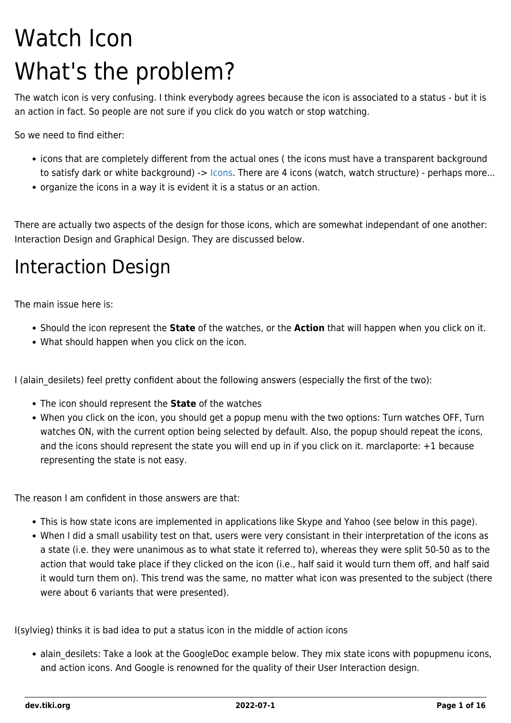# Watch Icon What's the problem?

The watch icon is very confusing. I think everybody agrees because the icon is associated to a status - but it is an action in fact. So people are not sure if you click do you watch or stop watching.

So we need to find either:

- icons that are completely different from the actual ones ( the icons must have a transparent background to satisfy dark or white background) -> [Icons](https://dev.tiki.org/Icons). There are 4 icons (watch, watch structure) - perhaps more...
- organize the icons in a way it is evident it is a status or an action.

There are actually two aspects of the design for those icons, which are somewhat independant of one another: Interaction Design and Graphical Design. They are discussed below.

#### Interaction Design

The main issue here is:

- Should the icon represent the **State** of the watches, or the **Action** that will happen when you click on it.
- What should happen when you click on the icon.

I (alain desilets) feel pretty confident about the following answers (especially the first of the two):

- The icon should represent the **State** of the watches
- When you click on the icon, you should get a popup menu with the two options: Turn watches OFF, Turn watches ON, with the current option being selected by default. Also, the popup should repeat the icons, and the icons should represent the state you will end up in if you click on it. marclaporte: +1 because representing the state is not easy.

The reason I am confident in those answers are that:

- This is how state icons are implemented in applications like Skype and Yahoo (see below in this page).
- When I did a small usability test on that, users were very consistant in their interpretation of the icons as a state (i.e. they were unanimous as to what state it referred to), whereas they were split 50-50 as to the action that would take place if they clicked on the icon (i.e., half said it would turn them off, and half said it would turn them on). This trend was the same, no matter what icon was presented to the subject (there were about 6 variants that were presented).

I(sylvieg) thinks it is bad idea to put a status icon in the middle of action icons

• alain desilets: Take a look at the GoogleDoc example below. They mix state icons with popupmenu icons, and action icons. And Google is renowned for the quality of their User Interaction design.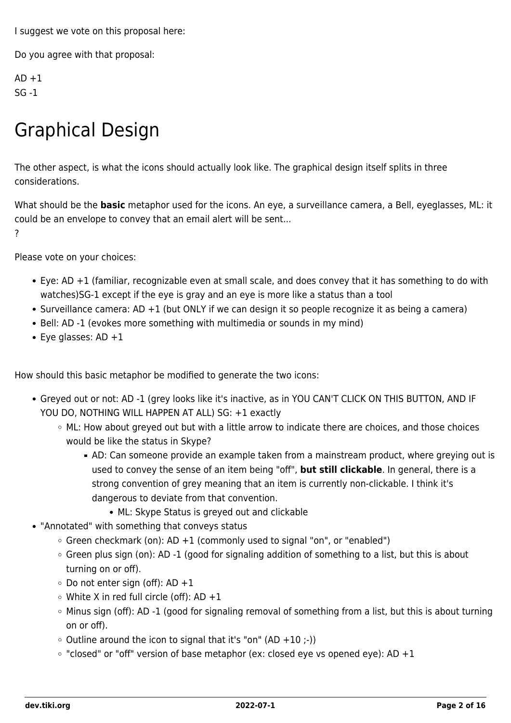I suggest we vote on this proposal here:

Do you agree with that proposal:

 $AD + 1$  $SG - 1$ 

### Graphical Design

The other aspect, is what the icons should actually look like. The graphical design itself splits in three considerations.

What should be the **basic** metaphor used for the icons. An eye, a surveillance camera, a Bell, eyeglasses, ML: it could be an envelope to convey that an email alert will be sent... ?

Please vote on your choices:

- Eye: AD +1 (familiar, recognizable even at small scale, and does convey that it has something to do with watches)SG-1 except if the eye is gray and an eye is more like a status than a tool
- Surveillance camera:  $AD + 1$  (but ONLY if we can design it so people recognize it as being a camera)
- Bell: AD -1 (evokes more something with multimedia or sounds in my mind)
- $\bullet$  Eye glasses: AD  $+1$

How should this basic metaphor be modified to generate the two icons:

- Greyed out or not: AD -1 (grey looks like it's inactive, as in YOU CAN'T CLICK ON THIS BUTTON, AND IF YOU DO, NOTHING WILL HAPPEN AT ALL) SG: +1 exactly
	- ML: How about greyed out but with a little arrow to indicate there are choices, and those choices would be like the status in Skype?
		- AD: Can someone provide an example taken from a mainstream product, where greying out is used to convey the sense of an item being "off", **but still clickable**. In general, there is a strong convention of grey meaning that an item is currently non-clickable. I think it's dangerous to deviate from that convention.
			- ML: Skype Status is greyed out and clickable
- "Annotated" with something that conveys status
	- $\circ$  Green checkmark (on): AD +1 (commonly used to signal "on", or "enabled")
	- Green plus sign (on): AD -1 (good for signaling addition of something to a list, but this is about turning on or off).
	- $\circ$  Do not enter sign (off): AD +1
	- $\circ$  White X in red full circle (off): AD +1
	- Minus sign (off): AD -1 (good for signaling removal of something from a list, but this is about turning on or off).
	- $\circ$  Outline around the icon to signal that it's "on" (AD +10 ;-))
	- $\circ$  "closed" or "off" version of base metaphor (ex: closed eye vs opened eye): AD +1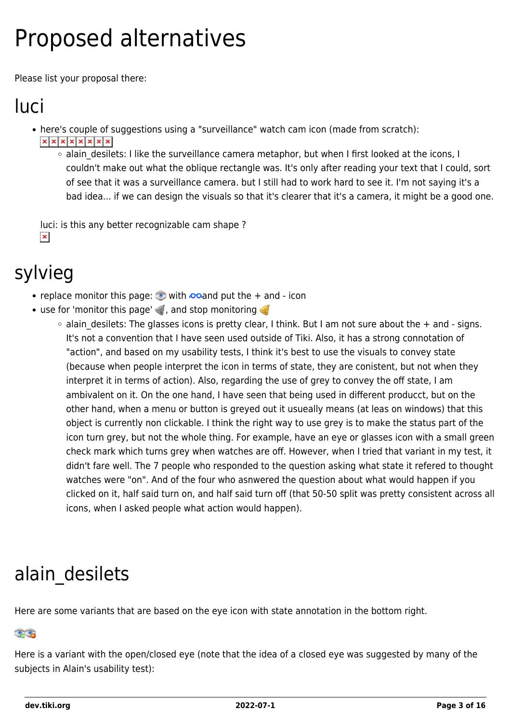# Proposed alternatives

Please list your proposal there:

## luci

- here's couple of suggestions using a "surveillance" watch cam icon (made from scratch):  $x|x|x|x|x|x|x$ 
	- o alain desilets: I like the surveillance camera metaphor, but when I first looked at the icons, I couldn't make out what the oblique rectangle was. It's only after reading your text that I could, sort of see that it was a surveillance camera. but I still had to work hard to see it. I'm not saying it's a bad idea... if we can design the visuals so that it's clearer that it's a camera, it might be a good one.

luci: is this any better recognizable cam shape ?  $\pmb{\times}$ 

#### sylvieg

- replace monitor this page:  $\bullet$  with  $\bullet$  and put the  $+$  and  $\bullet$  icon
- $\bullet$  use for 'monitor this page'  $\bullet$ , and stop monitoring  $\bullet$ 
	- o alain desilets: The glasses icons is pretty clear, I think. But I am not sure about the + and signs. It's not a convention that I have seen used outside of Tiki. Also, it has a strong connotation of "action", and based on my usability tests, I think it's best to use the visuals to convey state (because when people interpret the icon in terms of state, they are conistent, but not when they interpret it in terms of action). Also, regarding the use of grey to convey the off state, I am ambivalent on it. On the one hand, I have seen that being used in different producct, but on the other hand, when a menu or button is greyed out it usueally means (at leas on windows) that this object is currently non clickable. I think the right way to use grey is to make the status part of the icon turn grey, but not the whole thing. For example, have an eye or glasses icon with a small green check mark which turns grey when watches are off. However, when I tried that variant in my test, it didn't fare well. The 7 people who responded to the question asking what state it refered to thought watches were "on". And of the four who asnwered the question about what would happen if you clicked on it, half said turn on, and half said turn off (that 50-50 split was pretty consistent across all icons, when I asked people what action would happen).

### alain desilets

Here are some variants that are based on the eye icon with state annotation in the bottom right.

#### CG

Here is a variant with the open/closed eye (note that the idea of a closed eye was suggested by many of the subjects in Alain's usability test):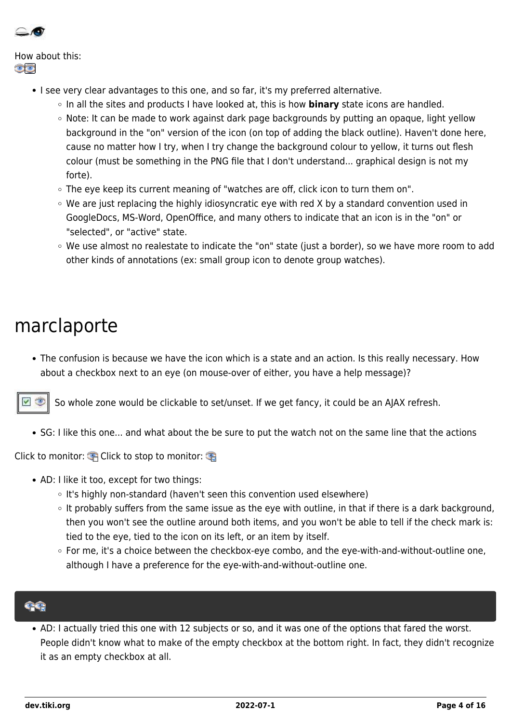

How about this: ත්ත

- I see very clear advantages to this one, and so far, it's my preferred alternative.
	- In all the sites and products I have looked at, this is how **binary** state icons are handled.
	- Note: It can be made to work against dark page backgrounds by putting an opaque, light yellow background in the "on" version of the icon (on top of adding the black outline). Haven't done here, cause no matter how I try, when I try change the background colour to yellow, it turns out flesh colour (must be something in the PNG file that I don't understand... graphical design is not my forte).
	- The eye keep its current meaning of "watches are off, click icon to turn them on".
	- $\circ$  We are just replacing the highly idiosyncratic eye with red X by a standard convention used in GoogleDocs, MS-Word, OpenOffice, and many others to indicate that an icon is in the "on" or "selected", or "active" state.
	- We use almost no realestate to indicate the "on" state (just a border), so we have more room to add other kinds of annotations (ex: small group icon to denote group watches).

#### marclaporte

The confusion is because we have the icon which is a state and an action. Is this really necessary. How about a checkbox next to an eye (on mouse-over of either, you have a help message)?

So whole zone would be clickable to set/unset. If we get fancy, it could be an AJAX refresh.

• SG: I like this one... and what about the be sure to put the watch not on the same line that the actions

Click to monitor:  $\bigoplus$  Click to stop to monitor:

- AD: I like it too, except for two things:
	- It's highly non-standard (haven't seen this convention used elsewhere)
	- o It probably suffers from the same issue as the eye with outline, in that if there is a dark background, then you won't see the outline around both items, and you won't be able to tell if the check mark is: tied to the eye, tied to the icon on its left, or an item by itself.
	- $\circ$  For me, it's a choice between the checkbox-eye combo, and the eye-with-and-without-outline one, although I have a preference for the eye-with-and-without-outline one.

AD: I actually tried this one with 12 subjects or so, and it was one of the options that fared the worst. People didn't know what to make of the empty checkbox at the bottom right. In fact, they didn't recognize it as an empty checkbox at all.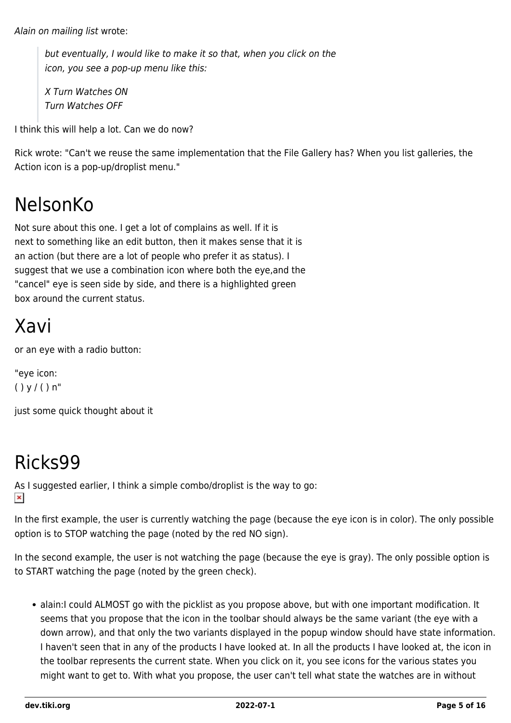Alain on mailing list wrote:

but eventually, I would like to make it so that, when you click on the icon, you see a pop-up menu like this:

X Turn Watches ON Turn Watches OFF

I think this will help a lot. Can we do now?

Rick wrote: "Can't we reuse the same implementation that the File Gallery has? When you list galleries, the Action icon is a pop-up/droplist menu."

#### NelsonKo

Not sure about this one. I get a lot of complains as well. If it is next to something like an edit button, then it makes sense that it is an action (but there are a lot of people who prefer it as status). I suggest that we use a combination icon where both the eye,and the "cancel" eye is seen side by side, and there is a highlighted green box around the current status.

### Xavi

or an eye with a radio button:

"eye icon:  $() y / () n"$ 

just some quick thought about it

### Ricks99

As I suggested earlier, I think a simple combo/droplist is the way to go:  $\pmb{\times}$ 

In the first example, the user is currently watching the page (because the eye icon is in color). The only possible option is to STOP watching the page (noted by the red NO sign).

In the second example, the user is not watching the page (because the eye is gray). The only possible option is to START watching the page (noted by the green check).

alain:I could ALMOST go with the picklist as you propose above, but with one important modification. It seems that you propose that the icon in the toolbar should always be the same variant (the eye with a down arrow), and that only the two variants displayed in the popup window should have state information. I haven't seen that in any of the products I have looked at. In all the products I have looked at, the icon in the toolbar represents the current state. When you click on it, you see icons for the various states you might want to get to. With what you propose, the user can't tell what state the watches are in without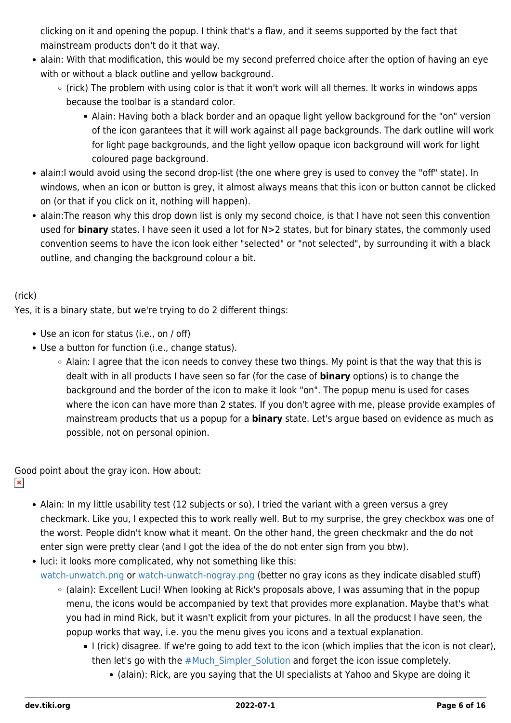clicking on it and opening the popup. I think that's a flaw, and it seems supported by the fact that mainstream products don't do it that way.

- alain: With that modification, this would be my second preferred choice after the option of having an eye with or without a black outline and yellow background.
	- (rick) The problem with using color is that it won't work will all themes. It works in windows apps because the toolbar is a standard color.
		- Alain: Having both a black border and an opaque light yellow background for the "on" version of the icon garantees that it will work against all page backgrounds. The dark outline will work for light page backgrounds, and the light yellow opaque icon background will work for light coloured page background.
- alain:I would avoid using the second drop-list (the one where grey is used to convey the "off" state). In windows, when an icon or button is grey, it almost always means that this icon or button cannot be clicked on (or that if you click on it, nothing will happen).
- alain:The reason why this drop down list is only my second choice, is that I have not seen this convention used for **binary** states. I have seen it used a lot for N>2 states, but for binary states, the commonly used convention seems to have the icon look either "selected" or "not selected", by surrounding it with a black outline, and changing the background colour a bit.

#### (rick)

Yes, it is a binary state, but we're trying to do 2 different things:

- Use an icon for status (i.e., on / off)
- Use a button for function (i.e., change status).
	- $\circ$  Alain: I agree that the icon needs to convey these two things. My point is that the way that this is dealt with in all products I have seen so far (for the case of **binary** options) is to change the background and the border of the icon to make it look "on". The popup menu is used for cases where the icon can have more than 2 states. If you don't agree with me, please provide examples of mainstream products that us a popup for a **binary** state. Let's argue based on evidence as much as possible, not on personal opinion.

Good point about the gray icon. How about:

- $\pmb{\times}$
- Alain: In my little usability test (12 subjects or so), I tried the variant with a green versus a grey checkmark. Like you, I expected this to work really well. But to my surprise, the grey checkbox was one of the worst. People didn't know what it meant. On the other hand, the green checkmakr and the do not enter sign were pretty clear (and I got the idea of the do not enter sign from you btw).
- luci: it looks more complicated, why not something like this: [watch-unwatch.png](https://dev.tiki.org/tiki-download_wiki_attachment.php?attId=80&download=y) or [watch-unwatch-nogray.png](https://dev.tiki.org/tiki-download_wiki_attachment.php?attId=81&download=y) (better no gray icons as they indicate disabled stuff)
	- (alain): Excellent Luci! When looking at Rick's proposals above, I was assuming that in the popup menu, the icons would be accompanied by text that provides more explanation. Maybe that's what you had in mind Rick, but it wasn't explicit from your pictures. In all the producst I have seen, the popup works that way, i.e. you the menu gives you icons and a textual explanation.
		- I (rick) disagree. If we're going to add text to the icon (which implies that the icon is not clear), then let's go with the [#Much\\_Simpler\\_Solution](#page--1-0) and forget the icon issue completely.
			- (alain): Rick, are you saying that the UI specialists at Yahoo and Skype are doing it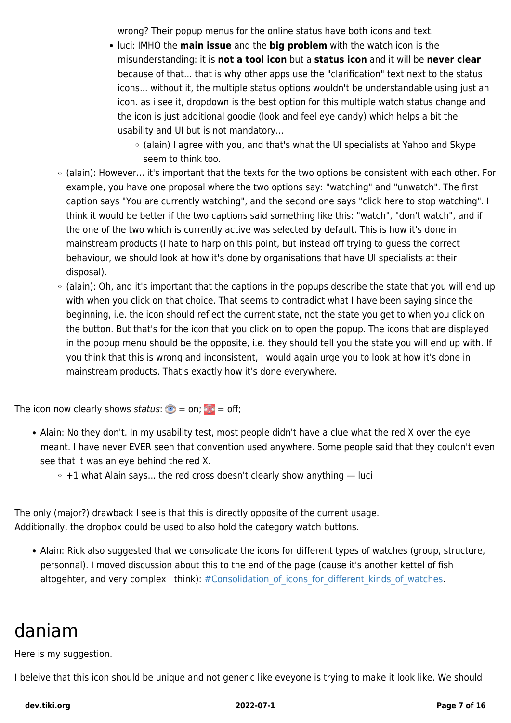wrong? Their popup menus for the online status have both icons and text.

- luci: IMHO the **main issue** and the **big problem** with the watch icon is the misunderstanding: it is **not a tool icon** but a **status icon** and it will be **never clear** because of that... that is why other apps use the "clarification" text next to the status icons... without it, the multiple status options wouldn't be understandable using just an icon. as i see it, dropdown is the best option for this multiple watch status change and the icon is just additional goodie (look and feel eye candy) which helps a bit the usability and UI but is not mandatory...
	- (alain) I agree with you, and that's what the UI specialists at Yahoo and Skype seem to think too.
- (alain): However... it's important that the texts for the two options be consistent with each other. For example, you have one proposal where the two options say: "watching" and "unwatch". The first caption says "You are currently watching", and the second one says "click here to stop watching". I think it would be better if the two captions said something like this: "watch", "don't watch", and if the one of the two which is currently active was selected by default. This is how it's done in mainstream products (I hate to harp on this point, but instead off trying to guess the correct behaviour, we should look at how it's done by organisations that have UI specialists at their disposal).
- (alain): Oh, and it's important that the captions in the popups describe the state that you will end up with when you click on that choice. That seems to contradict what I have been saying since the beginning, i.e. the icon should reflect the current state, not the state you get to when you click on the button. But that's for the icon that you click on to open the popup. The icons that are displayed in the popup menu should be the opposite, i.e. they should tell you the state you will end up with. If you think that this is wrong and inconsistent, I would again urge you to look at how it's done in mainstream products. That's exactly how it's done everywhere.

The icon now clearly shows status:  $\bullet$  = on;  $\bullet$  = off;

- Alain: No they don't. In my usability test, most people didn't have a clue what the red X over the eye meant. I have never EVER seen that convention used anywhere. Some people said that they couldn't even see that it was an eye behind the red X.
	- $\circ$  +1 what Alain says... the red cross doesn't clearly show anything  $-$  luci

The only (major?) drawback I see is that this is directly opposite of the current usage. Additionally, the dropbox could be used to also hold the category watch buttons.

Alain: Rick also suggested that we consolidate the icons for different types of watches (group, structure, personnal). I moved discussion about this to the end of the page (cause it's another kettel of fish altogehter, and very complex I think):  $#$ Consolidation of icons for different kinds of watches.

#### daniam

Here is my suggestion.

I beleive that this icon should be unique and not generic like eveyone is trying to make it look like. We should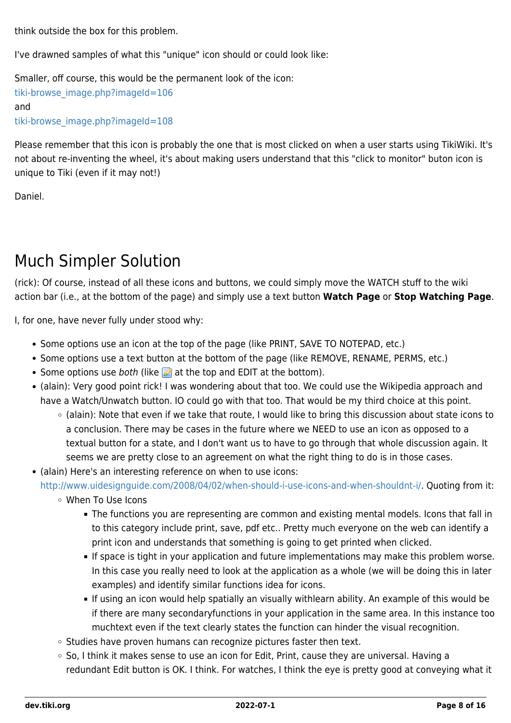think outside the box for this problem.

I've drawned samples of what this "unique" icon should or could look like:

Smaller, off course, this would be the permanent look of the icon: [tiki-browse\\_image.php?imageId=106](https://dev.tiki.org/tiki-browse_image.php?imageId=106) and [tiki-browse\\_image.php?imageId=108](https://dev.tiki.org/tiki-browse_image.php?imageId=108)

Please remember that this icon is probably the one that is most clicked on when a user starts using TikiWiki. It's not about re-inventing the wheel, it's about making users understand that this "click to monitor" buton icon is unique to Tiki (even if it may not!)

Daniel.

#### Much Simpler Solution

(rick): Of course, instead of all these icons and buttons, we could simply move the WATCH stuff to the wiki action bar (i.e., at the bottom of the page) and simply use a text button **Watch Page** or **Stop Watching Page**.

I, for one, have never fully under stood why:

- Some options use an icon at the top of the page (like PRINT, SAVE TO NOTEPAD, etc.)
- Some options use a text button at the bottom of the page (like REMOVE, RENAME, PERMS, etc.)
- Some options use both (like  $\triangle$  at the top and EDIT at the bottom).
- (alain): Very good point rick! I was wondering about that too. We could use the Wikipedia approach and have a Watch/Unwatch button. IO could go with that too. That would be my third choice at this point.
	- (alain): Note that even if we take that route, I would like to bring this discussion about state icons to a conclusion. There may be cases in the future where we NEED to use an icon as opposed to a textual button for a state, and I don't want us to have to go through that whole discussion again. It seems we are pretty close to an agreement on what the right thing to do is in those cases.
- (alain) Here's an interesting reference on when to use icons:

[http://www.uidesignguide.com/2008/04/02/when-should-i-use-icons-and-when-shouldnt-i/.](http://www.uidesignguide.com/2008/04/02/when-should-i-use-icons-and-when-shouldnt-i/) Quoting from it:

- When To Use Icons
	- The functions you are representing are common and existing mental models. Icons that fall in to this category include print, save, pdf etc.. Pretty much everyone on the web can identify a print icon and understands that something is going to get printed when clicked.
	- If space is tight in your application and future implementations may make this problem worse. In this case you really need to look at the application as a whole (we will be doing this in later examples) and identify similar functions idea for icons.
	- If using an icon would help spatially an visually withlearn ability. An example of this would be if there are many secondaryfunctions in your application in the same area. In this instance too muchtext even if the text clearly states the function can hinder the visual recognition.
- $\circ$  Studies have proven humans can recognize pictures faster then text.
- So, I think it makes sense to use an icon for Edit, Print, cause they are universal. Having a redundant Edit button is OK. I think. For watches, I think the eye is pretty good at conveying what it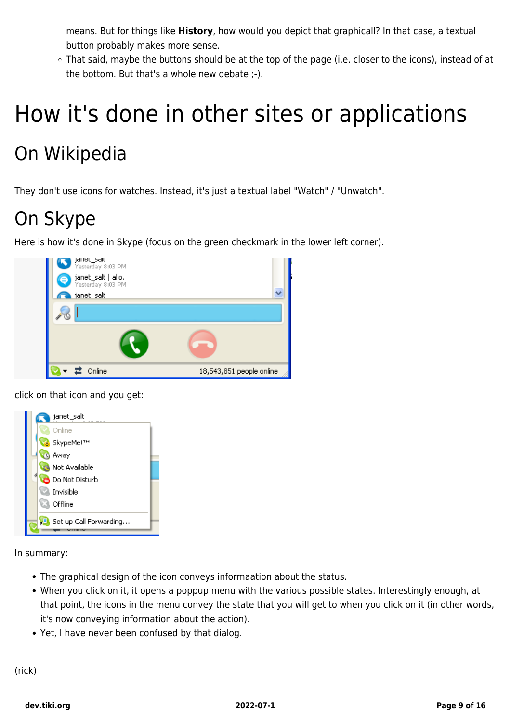means. But for things like **History**, how would you depict that graphicall? In that case, a textual button probably makes more sense.

○ That said, maybe the buttons should be at the top of the page (i.e. closer to the icons), instead of at the bottom. But that's a whole new debate ;-).

# How it's done in other sites or applications

### On Wikipedia

They don't use icons for watches. Instead, it's just a textual label "Watch" / "Unwatch".

### On Skype

Here is how it's done in Skype (focus on the green checkmark in the lower left corner).



click on that icon and you get:



In summary:

- The graphical design of the icon conveys informaation about the status.
- When you click on it, it opens a poppup menu with the various possible states. Interestingly enough, at that point, the icons in the menu convey the state that you will get to when you click on it (in other words, it's now conveying information about the action).
- Yet, I have never been confused by that dialog.

(rick)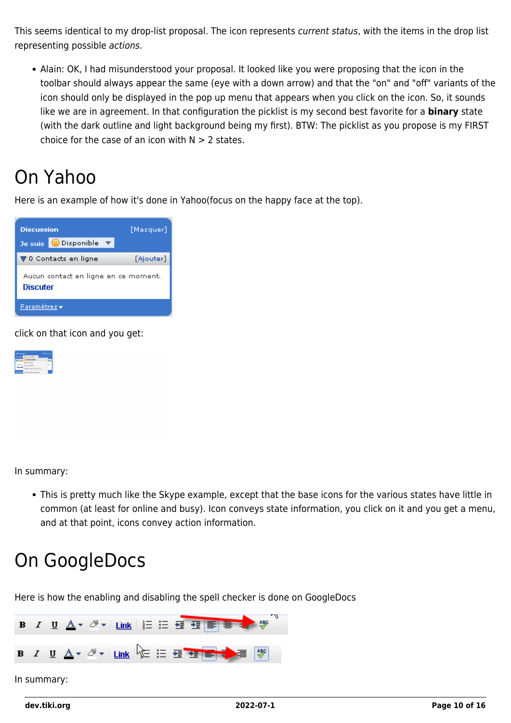This seems identical to my drop-list proposal. The icon represents current status, with the items in the drop list representing possible actions.

Alain: OK, I had misunderstood your proposal. It looked like you were proposing that the icon in the toolbar should always appear the same (eye with a down arrow) and that the "on" and "off" variants of the icon should only be displayed in the pop up menu that appears when you click on the icon. So, it sounds like we are in agreement. In that configuration the picklist is my second best favorite for a **binary** state (with the dark outline and light background being my first). BTW: The picklist as you propose is my FIRST choice for the case of an icon with  $N > 2$  states.

### On Yahoo

Here is an example of how it's done in Yahoo(focus on the happy face at the top).



click on that icon and you get:



In summary:

This is pretty much like the Skype example, except that the base icons for the various states have little in common (at least for online and busy). Icon conveys state information, you click on it and you get a menu, and at that point, icons convey action information.

### On GoogleDocs

Here is how the enabling and disabling the spell checker is done on GoogleDocs

|             |  |  |  | B I U A v & v   Link   } = = = = = = + * |  |  |  |  |  |  |  |  |
|-------------|--|--|--|------------------------------------------|--|--|--|--|--|--|--|--|
|             |  |  |  |                                          |  |  |  |  |  |  |  |  |
| In summary: |  |  |  |                                          |  |  |  |  |  |  |  |  |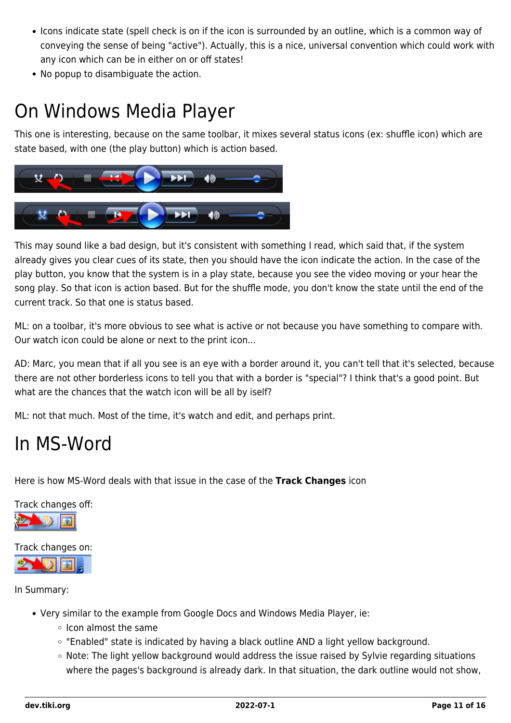- Icons indicate state (spell check is on if the icon is surrounded by an outline, which is a common way of conveying the sense of being "active"). Actually, this is a nice, universal convention which could work with any icon which can be in either on or off states!
- No popup to disambiguate the action.

### On Windows Media Player

This one is interesting, because on the same toolbar, it mixes several status icons (ex: shuffle icon) which are state based, with one (the play button) which is action based.



This may sound like a bad design, but it's consistent with something I read, which said that, if the system already gives you clear cues of its state, then you should have the icon indicate the action. In the case of the play button, you know that the system is in a play state, because you see the video moving or your hear the song play. So that icon is action based. But for the shuffle mode, you don't know the state until the end of the current track. So that one is status based.

ML: on a toolbar, it's more obvious to see what is active or not because you have something to compare with. Our watch icon could be alone or next to the print icon...

AD: Marc, you mean that if all you see is an eye with a border around it, you can't tell that it's selected, because there are not other borderless icons to tell you that with a border is "special"? I think that's a good point. But what are the chances that the watch icon will be all by iself?

ML: not that much. Most of the time, it's watch and edit, and perhaps print.

#### In MS-Word

Here is how MS-Word deals with that issue in the case of the **Track Changes** icon

Track changes off:



Track changes on:

In Summary:

- Very similar to the example from Google Docs and Windows Media Player, ie:
	- o Icon almost the same
	- o "Enabled" state is indicated by having a black outline AND a light yellow background.
	- Note: The light yellow background would address the issue raised by Sylvie regarding situations where the pages's background is already dark. In that situation, the dark outline would not show,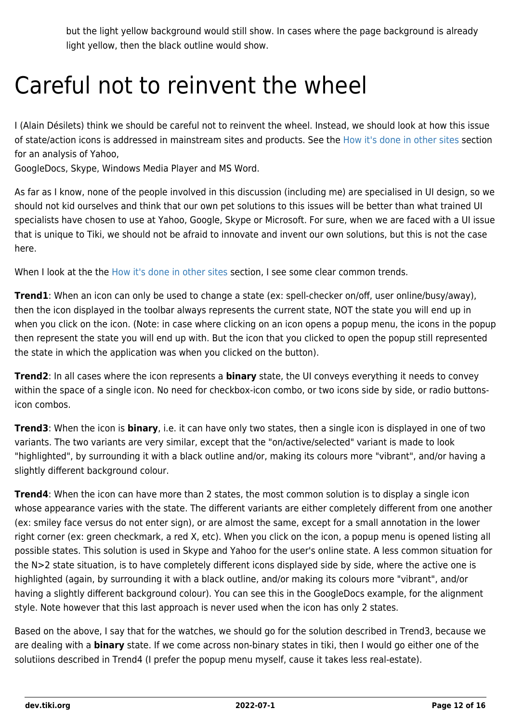but the light yellow background would still show. In cases where the page background is already light yellow, then the black outline would show.

# Careful not to reinvent the wheel

I (Alain Désilets) think we should be careful not to reinvent the wheel. Instead, we should look at how this issue of state/action icons is addressed in mainstream sites and products. See the [How it's done in other sites](#page--1-0) section for an analysis of Yahoo,

GoogleDocs, Skype, Windows Media Player and MS Word.

As far as I know, none of the people involved in this discussion (including me) are specialised in UI design, so we should not kid ourselves and think that our own pet solutions to this issues will be better than what trained UI specialists have chosen to use at Yahoo, Google, Skype or Microsoft. For sure, when we are faced with a UI issue that is unique to Tiki, we should not be afraid to innovate and invent our own solutions, but this is not the case here.

When I look at the the [How it's done in other sites](#page--1-0) section, I see some clear common trends.

**Trend1**: When an icon can only be used to change a state (ex: spell-checker on/off, user online/busy/away), then the icon displayed in the toolbar always represents the current state, NOT the state you will end up in when you click on the icon. (Note: in case where clicking on an icon opens a popup menu, the icons in the popup then represent the state you will end up with. But the icon that you clicked to open the popup still represented the state in which the application was when you clicked on the button).

**Trend2**: In all cases where the icon represents a **binary** state, the UI conveys everything it needs to convey within the space of a single icon. No need for checkbox-icon combo, or two icons side by side, or radio buttonsicon combos.

**Trend3**: When the icon is **binary**, i.e. it can have only two states, then a single icon is displayed in one of two variants. The two variants are very similar, except that the "on/active/selected" variant is made to look "highlighted", by surrounding it with a black outline and/or, making its colours more "vibrant", and/or having a slightly different background colour.

**Trend4**: When the icon can have more than 2 states, the most common solution is to display a single icon whose appearance varies with the state. The different variants are either completely different from one another (ex: smiley face versus do not enter sign), or are almost the same, except for a small annotation in the lower right corner (ex: green checkmark, a red X, etc). When you click on the icon, a popup menu is opened listing all possible states. This solution is used in Skype and Yahoo for the user's online state. A less common situation for the N>2 state situation, is to have completely different icons displayed side by side, where the active one is highlighted (again, by surrounding it with a black outline, and/or making its colours more "vibrant", and/or having a slightly different background colour). You can see this in the GoogleDocs example, for the alignment style. Note however that this last approach is never used when the icon has only 2 states.

Based on the above, I say that for the watches, we should go for the solution described in Trend3, because we are dealing with a **binary** state. If we come across non-binary states in tiki, then I would go either one of the solutiions described in Trend4 (I prefer the popup menu myself, cause it takes less real-estate).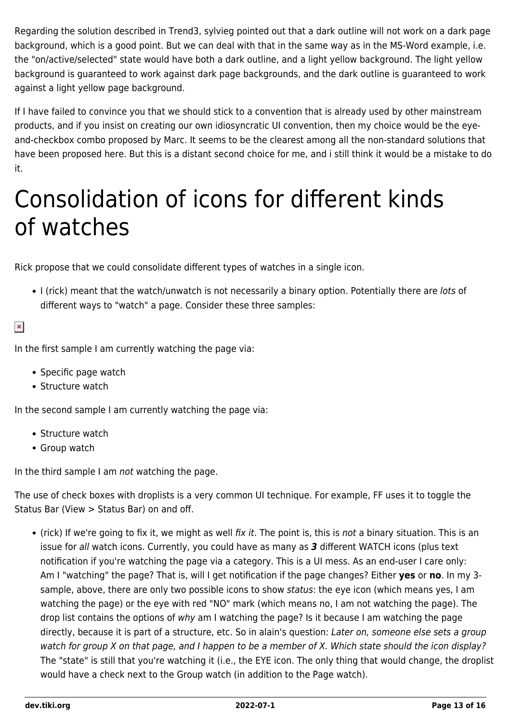Regarding the solution described in Trend3, sylvieg pointed out that a dark outline will not work on a dark page background, which is a good point. But we can deal with that in the same way as in the MS-Word example, i.e. the "on/active/selected" state would have both a dark outline, and a light yellow background. The light yellow background is guaranteed to work against dark page backgrounds, and the dark outline is guaranteed to work against a light yellow page background.

If I have failed to convince you that we should stick to a convention that is already used by other mainstream products, and if you insist on creating our own idiosyncratic UI convention, then my choice would be the eyeand-checkbox combo proposed by Marc. It seems to be the clearest among all the non-standard solutions that have been proposed here. But this is a distant second choice for me, and i still think it would be a mistake to do it.

# Consolidation of icons for different kinds of watches

Rick propose that we could consolidate different types of watches in a single icon.

I (rick) meant that the watch/unwatch is not necessarily a binary option. Potentially there are lots of different ways to "watch" a page. Consider these three samples:

 $\pmb{\times}$ 

In the first sample I am currently watching the page via:

- Specific page watch
- Structure watch

In the second sample I am currently watching the page via:

- Structure watch
- Group watch

In the third sample I am not watching the page.

The use of check boxes with droplists is a very common UI technique. For example, FF uses it to toggle the Status Bar (View > Status Bar) on and off.

(rick) If we're going to fix it, we might as well fix it. The point is, this is not a binary situation. This is an issue for all watch icons. Currently, you could have as many as *3* different WATCH icons (plus text notification if you're watching the page via a category. This is a UI mess. As an end-user I care only: Am I "watching" the page? That is, will I get notification if the page changes? Either **yes** or **no**. In my 3 sample, above, there are only two possible icons to show status: the eye icon (which means yes, I am watching the page) or the eye with red "NO" mark (which means no, I am not watching the page). The drop list contains the options of why am I watching the page? Is it because I am watching the page directly, because it is part of a structure, etc. So in alain's question: Later on, someone else sets a group watch for group X on that page, and I happen to be a member of X. Which state should the icon display? The "state" is still that you're watching it (i.e., the EYE icon. The only thing that would change, the droplist would have a check next to the Group watch (in addition to the Page watch).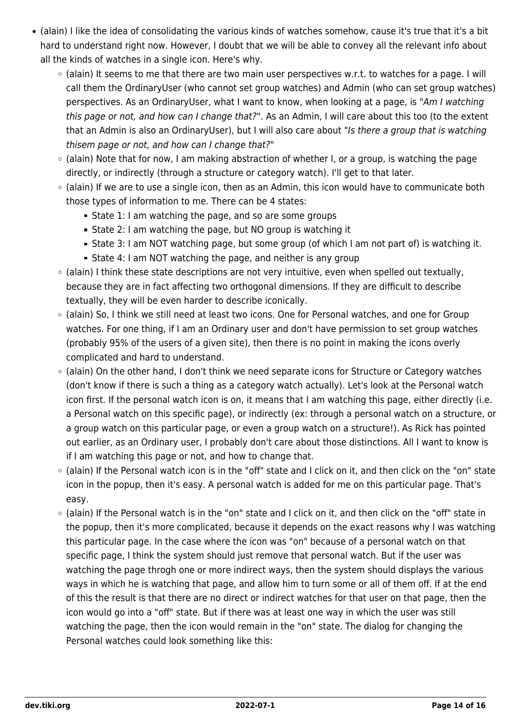- (alain) I like the idea of consolidating the various kinds of watches somehow, cause it's true that it's a bit hard to understand right now. However, I doubt that we will be able to convey all the relevant info about all the kinds of watches in a single icon. Here's why.
	- $\circ$  (alain) It seems to me that there are two main user perspectives w.r.t. to watches for a page. I will call them the OrdinaryUser (who cannot set group watches) and Admin (who can set group watches) perspectives. As an OrdinaryUser, what I want to know, when looking at a page, is "Am I watching this page or not, and how can I change that?". As an Admin, I will care about this too (to the extent that an Admin is also an OrdinaryUser), but I will also care about "Is there a group that is watching thisem page or not, and how can I change that?"
	- $\circ$  (alain) Note that for now, I am making abstraction of whether I, or a group, is watching the page directly, or indirectly (through a structure or category watch). I'll get to that later.
	- (alain) If we are to use a single icon, then as an Admin, this icon would have to communicate both those types of information to me. There can be 4 states:
		- **State 1: I am watching the page, and so are some groups**
		- State 2: I am watching the page, but NO group is watching it
		- State 3: I am NOT watching page, but some group (of which I am not part of) is watching it.
		- State 4: I am NOT watching the page, and neither is any group
	- (alain) I think these state descriptions are not very intuitive, even when spelled out textually, because they are in fact affecting two orthogonal dimensions. If they are difficult to describe textually, they will be even harder to describe iconically.
	- (alain) So, I think we still need at least two icons. One for Personal watches, and one for Group watches. For one thing, if I am an Ordinary user and don't have permission to set group watches (probably 95% of the users of a given site), then there is no point in making the icons overly complicated and hard to understand.
	- (alain) On the other hand, I don't think we need separate icons for Structure or Category watches (don't know if there is such a thing as a category watch actually). Let's look at the Personal watch icon first. If the personal watch icon is on, it means that I am watching this page, either directly (i.e. a Personal watch on this specific page), or indirectly (ex: through a personal watch on a structure, or a group watch on this particular page, or even a group watch on a structure!). As Rick has pointed out earlier, as an Ordinary user, I probably don't care about those distinctions. All I want to know is if I am watching this page or not, and how to change that.
	- (alain) If the Personal watch icon is in the "off" state and I click on it, and then click on the "on" state icon in the popup, then it's easy. A personal watch is added for me on this particular page. That's easy.
	- (alain) If the Personal watch is in the "on" state and I click on it, and then click on the "off" state in the popup, then it's more complicated, because it depends on the exact reasons why I was watching this particular page. In the case where the icon was "on" because of a personal watch on that specific page, I think the system should just remove that personal watch. But if the user was watching the page throgh one or more indirect ways, then the system should displays the various ways in which he is watching that page, and allow him to turn some or all of them off. If at the end of this the result is that there are no direct or indirect watches for that user on that page, then the icon would go into a "off" state. But if there was at least one way in which the user was still watching the page, then the icon would remain in the "on" state. The dialog for changing the Personal watches could look something like this: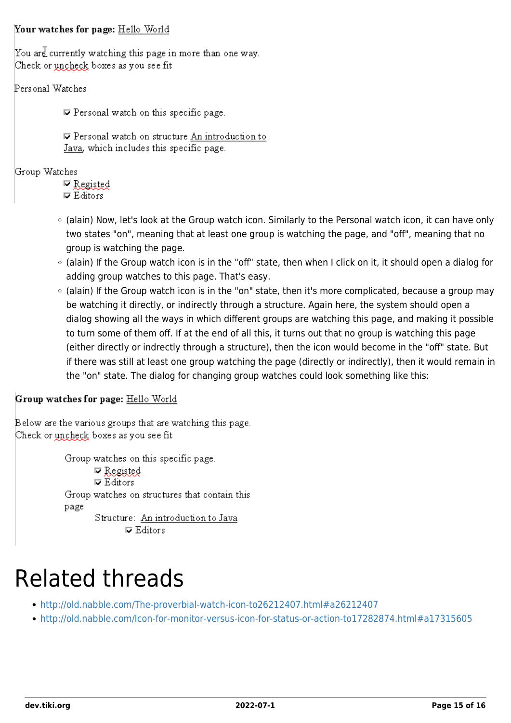#### Your watches for page: Hello World

You are currently watching this page in more than one way. Check or uncheck boxes as you see fit

#### Personal Watches

 $\nabla$  Personal watch on this specific page.

 $⊓$  Personal watch on structure An introduction to Java, which includes this specific page.

#### Group Watches

 $\nabla$  Registed  $\nabla$  Editors

- (alain) Now, let's look at the Group watch icon. Similarly to the Personal watch icon, it can have only two states "on", meaning that at least one group is watching the page, and "off", meaning that no group is watching the page.
- (alain) If the Group watch icon is in the "off" state, then when I click on it, it should open a dialog for adding group watches to this page. That's easy.
- (alain) If the Group watch icon is in the "on" state, then it's more complicated, because a group may be watching it directly, or indirectly through a structure. Again here, the system should open a dialog showing all the ways in which different groups are watching this page, and making it possible to turn some of them off. If at the end of all this, it turns out that no group is watching this page (either directly or indrectly through a structure), then the icon would become in the "off" state. But if there was still at least one group watching the page (directly or indirectly), then it would remain in the "on" state. The dialog for changing group watches could look something like this:

#### Group watches for page: Hello World

Below are the various groups that are watching this page. Check or uncheck boxes as you see fit

> Group watches on this specific page.  $\nabla$  Registed  $\nabla$  Editors Group watches on structures that contain this page Structure: An introduction to Java  $\nabla$  Editors

# Related threads

- <http://old.nabble.com/The-proverbial-watch-icon-to26212407.html#a26212407>
- <http://old.nabble.com/Icon-for-monitor-versus-icon-for-status-or-action-to17282874.html#a17315605>